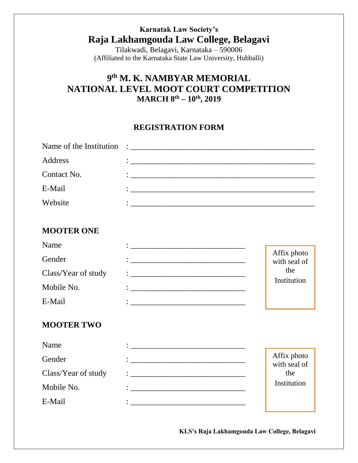## **Karnatak Law Society's Raja Lakhamgouda Law College, Belagavi**

Tilakwadi, Belagavi, Karnataka – 590006 (Affiliated to the Karnataka State Law University, Hubballi)

# **9 th M. K. NAMBYAR MEMORIAL NATIONAL LEVEL MOOT COURT COMPETITION MARCH 8 th – 10th, 2019**

#### **REGISTRATION FORM**

| Address     |                                                                                                                      |
|-------------|----------------------------------------------------------------------------------------------------------------------|
| Contact No. | <u> 1980 - Andrea Santana, amerikana menyebarkan berasala di sebagai berasal dalam berasal dalam berasal dalam b</u> |
| E-Mail      |                                                                                                                      |
| Website     |                                                                                                                      |

#### **MOOTER ONE**

| Name                      | $\ddot{\cdot}$ . The contract of the contract of the contract of the contract of the contract of the contract of the contract of the contract of the contract of the contract of the contract of the contract of the contract of th                                                                                                                                  |                             |
|---------------------------|----------------------------------------------------------------------------------------------------------------------------------------------------------------------------------------------------------------------------------------------------------------------------------------------------------------------------------------------------------------------|-----------------------------|
| Gender                    |                                                                                                                                                                                                                                                                                                                                                                      | Affix photo<br>with seal of |
| Class/Year of study       | $\mathcal{L} = \frac{1}{2} \sum_{i=1}^{n} \frac{1}{2} \sum_{j=1}^{n} \frac{1}{2} \sum_{j=1}^{n} \frac{1}{2} \sum_{j=1}^{n} \frac{1}{2} \sum_{j=1}^{n} \frac{1}{2} \sum_{j=1}^{n} \frac{1}{2} \sum_{j=1}^{n} \frac{1}{2} \sum_{j=1}^{n} \frac{1}{2} \sum_{j=1}^{n} \frac{1}{2} \sum_{j=1}^{n} \frac{1}{2} \sum_{j=1}^{n} \frac{1}{2} \sum_{j=1}^{n} \frac{1}{2} \sum$ | the<br>Institution          |
| Mobile No.                |                                                                                                                                                                                                                                                                                                                                                                      |                             |
| E-Mail                    |                                                                                                                                                                                                                                                                                                                                                                      |                             |
| <b>MOOTER TWO</b><br>Name | $\ddot{\cdot}$ . The contract of the contract of the contract of the contract of the contract of the contract of the contract of the contract of the contract of the contract of the contract of the contract of the contract of th                                                                                                                                  |                             |
| Gender                    |                                                                                                                                                                                                                                                                                                                                                                      | Affix photo<br>with seal of |
| Class/Year of study       |                                                                                                                                                                                                                                                                                                                                                                      | the                         |
| Mobile No.                |                                                                                                                                                                                                                                                                                                                                                                      | Institution                 |
| E-Mail                    | <u> 2002 - Johann John Stone, mars et al. (2003)</u>                                                                                                                                                                                                                                                                                                                 |                             |
|                           |                                                                                                                                                                                                                                                                                                                                                                      |                             |

**KLS's Raja Lakhamgouda Law College, Belagavi**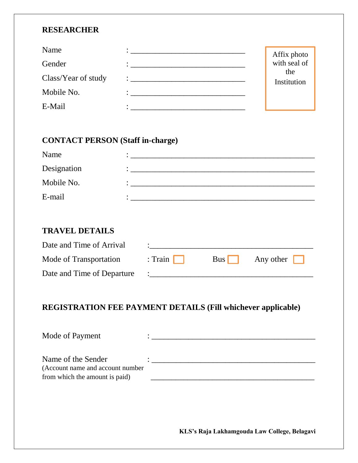#### **RESEARCHER**

| Name                |                                    | Affix photo        |
|---------------------|------------------------------------|--------------------|
| Gender              |                                    | with seal of       |
| Class/Year of study | • <u>—————————————————————————</u> | the<br>Institution |
| Mobile No.          | $\bullet$                          |                    |
| E-Mail              |                                    |                    |

# **CONTACT PERSON (Staff in-charge)**

| Name        | $\bullet$ |
|-------------|-----------|
| Designation | ٠         |
| Mobile No.  | $\bullet$ |
| E-mail      |           |

## **TRAVEL DETAILS**

| Date and Time of Arrival   |         |     |                  |
|----------------------------|---------|-----|------------------|
| Mode of Transportation     | : Train | Bus | Any other $\Box$ |
| Date and Time of Departure |         |     |                  |

## **REGISTRATION FEE PAYMENT DETAILS (Fill whichever applicable)**

| Mode of Payment                                                                          |  |
|------------------------------------------------------------------------------------------|--|
| Name of the Sender<br>(Account name and account number<br>from which the amount is paid) |  |

**KLS's Raja Lakhamgouda Law College, Belagavi**